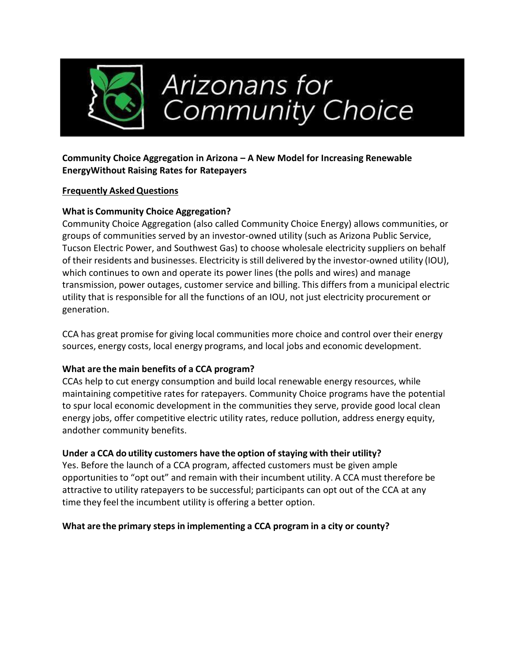

### **Community Choice Aggregation in Arizona – A New Model for Increasing Renewable EnergyWithout Raising Rates for Ratepayers**

### **Frequently Asked Questions**

## **What is Community Choice Aggregation?**

Community Choice Aggregation (also called Community Choice Energy) allows communities, or groups of communities served by an investor-owned utility (such as Arizona Public Service, Tucson Electric Power, and Southwest Gas) to choose wholesale electricity suppliers on behalf of their residents and businesses. Electricity is still delivered by the investor-owned utility (IOU), which continues to own and operate its power lines (the polls and wires) and manage transmission, power outages, customer service and billing. This differs from a municipal electric utility that is responsible for all the functions of an IOU, not just electricity procurement or generation.

CCA has great promise for giving local communities more choice and control over their energy sources, energy costs, local energy programs, and local jobs and economic development.

### **What are the main benefits of a CCA program?**

CCAs help to cut energy consumption and build local renewable energy resources, while maintaining competitive rates for ratepayers. Community Choice programs have the potential to spur local economic development in the communities they serve, provide good local clean energy jobs, offer competitive electric utility rates, reduce pollution, address energy equity, andother community benefits.

# **Under a CCA do utility customers have the option of staying with their utility?**

Yes. Before the launch of a CCA program, affected customers must be given ample opportunities to "opt out" and remain with their incumbent utility. A CCA must therefore be attractive to utility ratepayers to be successful; participants can opt out of the CCA at any time they feel the incumbent utility is offering a better option.

### **What are the primary steps in implementing a CCA program in a city or county?**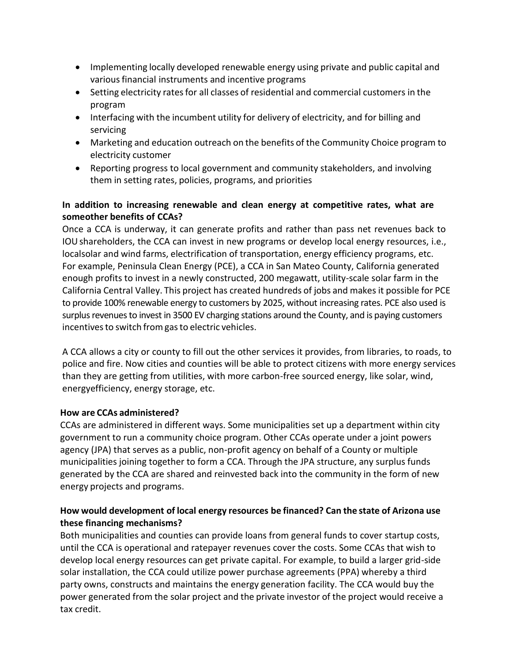- Implementing locally developed renewable energy using private and public capital and variousfinancial instruments and incentive programs
- Setting electricity rates for all classes of residential and commercial customers in the program
- Interfacing with the incumbent utility for delivery of electricity, and for billing and servicing
- Marketing and education outreach on the benefits of the Community Choice program to electricity customer
- Reporting progress to local government and community stakeholders, and involving them in setting rates, policies, programs, and priorities

## **In addition to increasing renewable and clean energy at competitive rates, what are someother benefits of CCAs?**

Once a CCA is underway, it can generate profits and rather than pass net revenues back to IOUshareholders, the CCA can invest in new programs or develop local energy resources, i.e., localsolar and wind farms, electrification of transportation, energy efficiency programs, etc. For example, Peninsula Clean Energy (PCE), a CCA in San Mateo County, California generated enough profits to invest in a newly constructed, 200 megawatt, utility-scale solar farm in the California Central Valley. This project has created hundreds of jobs and makes it possible for PCE to provide 100% renewable energy to customers by 2025, without increasing rates. PCE also used is surplus revenues to invest in 3500 EV charging stations around the County, and is paying customers incentives to switch from gas to electric vehicles.

A CCA allows a city or county to fill out the other services it provides, from libraries, to roads, to police and fire. Now cities and counties will be able to protect citizens with more energy services than they are getting from utilities, with more carbon-free sourced energy, like solar, wind, energyefficiency, energy storage, etc.

### **How are CCAs administered?**

CCAs are administered in different ways. Some municipalities set up a department within city government to run a community choice program. Other CCAs operate under a joint powers agency (JPA) that serves as a public, non-profit agency on behalf of a County or multiple municipalities joining together to form a CCA. Through the JPA structure, any surplus funds generated by the CCA are shared and reinvested back into the community in the form of new energy projects and programs.

## **How would development of local energy resources be financed? Can the state of Arizona use these financing mechanisms?**

Both municipalities and counties can provide loans from general funds to cover startup costs, until the CCA is operational and ratepayer revenues cover the costs. Some CCAs that wish to develop local energy resources can get private capital. For example, to build a larger grid-side solar installation, the CCA could utilize power purchase agreements (PPA) whereby a third party owns, constructs and maintains the energy generation facility. The CCA would buy the power generated from the solar project and the private investor of the project would receive a tax credit.